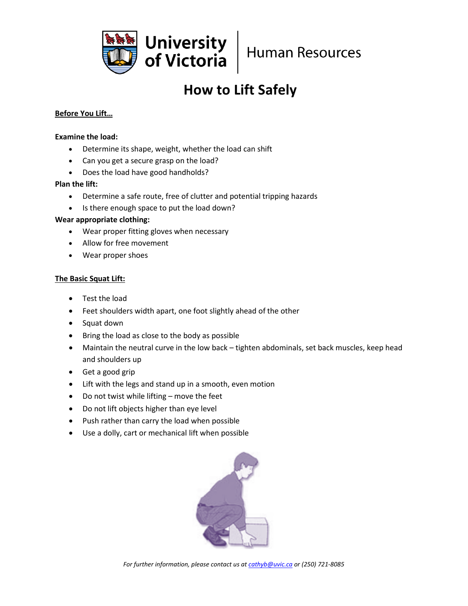

# **How to Lift Safely**

## **Before You Lift…**

#### **Examine the load:**

- Determine its shape, weight, whether the load can shift
- Can you get a secure grasp on the load?
- Does the load have good handholds?

### **Plan the lift:**

- Determine a safe route, free of clutter and potential tripping hazards
- Is there enough space to put the load down?

### **Wear appropriate clothing:**

- Wear proper fitting gloves when necessary
- Allow for free movement
- Wear proper shoes

### **The Basic Squat Lift:**

- Test the load
- Feet shoulders width apart, one foot slightly ahead of the other
- Squat down
- Bring the load as close to the body as possible
- Maintain the neutral curve in the low back tighten abdominals, set back muscles, keep head and shoulders up
- Get a good grip
- Lift with the legs and stand up in a smooth, even motion
- Do not twist while lifting move the feet
- Do not lift objects higher than eye level
- Push rather than carry the load when possible
- Use a dolly, cart or mechanical lift when possible



*For further information, please contact us a[t cathyb@uvic.ca](mailto:cathyb@uvic.ca) or (250) 721-8085*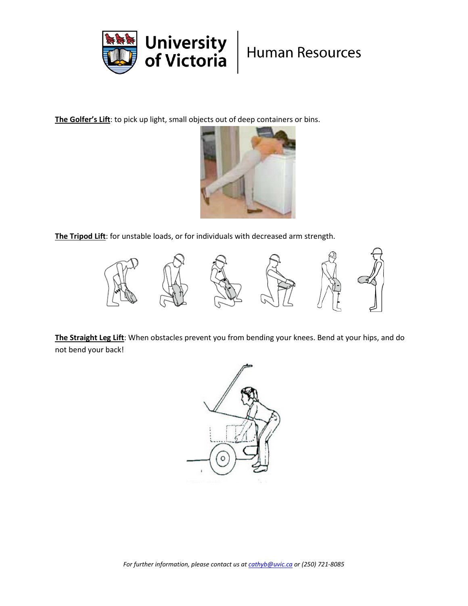

**The Golfer's Lift**: to pick up light, small objects out of deep containers or bins.



**The Tripod Lift**: for unstable loads, or for individuals with decreased arm strength.



**The Straight Leg Lift**: When obstacles prevent you from bending your knees. Bend at your hips, and do not bend your back!